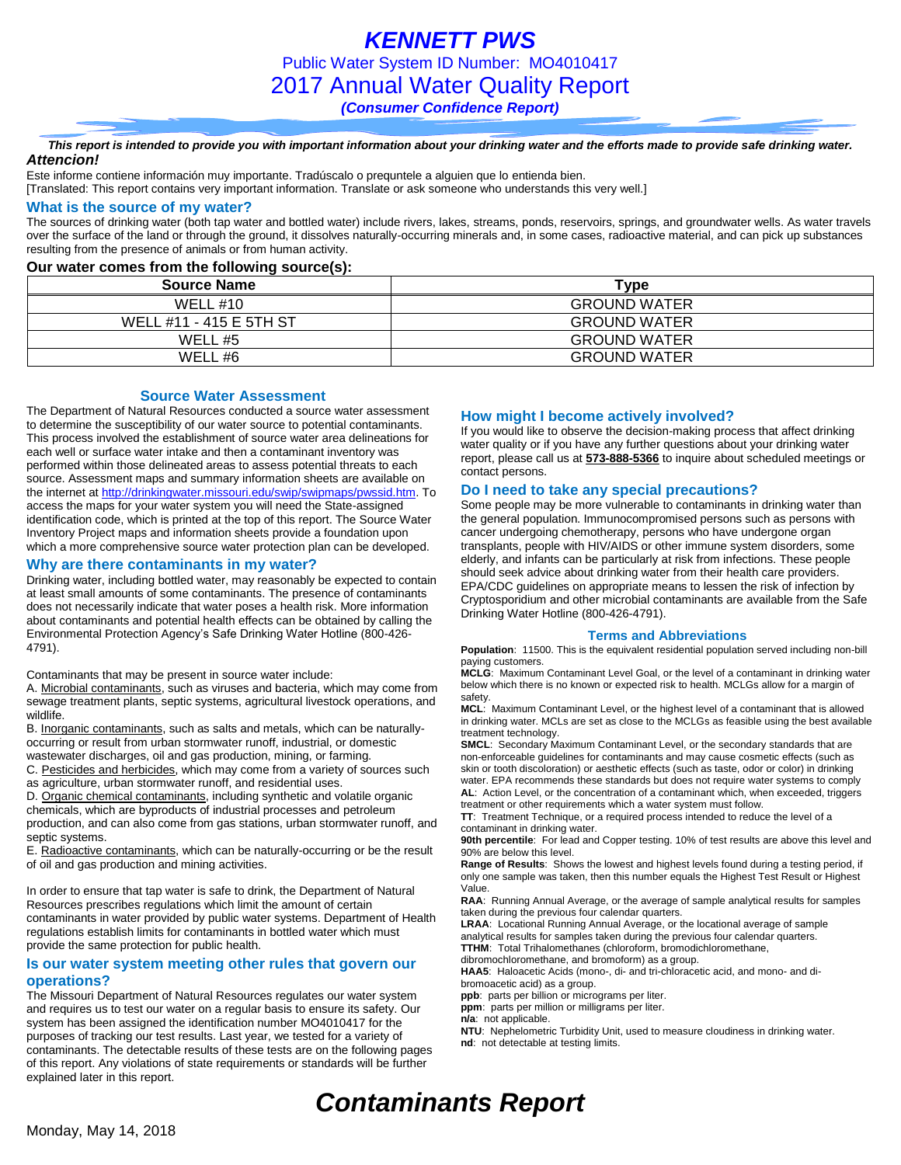*KENNETT PWS* Public Water System ID Number: MO4010417 2017 Annual Water Quality Report *(Consumer Confidence Report)*

*This report is intended to provide you with important information about your drinking water and the efforts made to provide safe drinking water. Attencion!*

Este informe contiene información muy importante. Tradúscalo o prequntele a alguien que lo entienda bien.

[Translated: This report contains very important information. Translate or ask someone who understands this very well.]

### **What is the source of my water?**

The sources of drinking water (both tap water and bottled water) include rivers, lakes, streams, ponds, reservoirs, springs, and groundwater wells. As water travels over the surface of the land or through the ground, it dissolves naturally-occurring minerals and, in some cases, radioactive material, and can pick up substances resulting from the presence of animals or from human activity.

### **Our water comes from the following source(s):**

| <b>Source Name</b>      | Type                |
|-------------------------|---------------------|
| WELL $#10$              | <b>GROUND WATER</b> |
| WELL #11 - 415 E 5TH ST | <b>GROUND WATER</b> |
| WELL #5                 | <b>GROUND WATER</b> |
| WELL #6                 | <b>GROUND WATER</b> |

### **Source Water Assessment**

The Department of Natural Resources conducted a source water assessment to determine the susceptibility of our water source to potential contaminants. This process involved the establishment of source water area delineations for each well or surface water intake and then a contaminant inventory was performed within those delineated areas to assess potential threats to each source. Assessment maps and summary information sheets are available on the internet a[t http://drinkingwater.missouri.edu/swip/swipmaps/pwssid.htm.](http://drinkingwater.missouri.edu/swip/swipmaps/pwssid.htm) To access the maps for your water system you will need the State-assigned identification code, which is printed at the top of this report. The Source Water Inventory Project maps and information sheets provide a foundation upon which a more comprehensive source water protection plan can be developed.

### **Why are there contaminants in my water?**

Drinking water, including bottled water, may reasonably be expected to contain at least small amounts of some contaminants. The presence of contaminants does not necessarily indicate that water poses a health risk. More information about contaminants and potential health effects can be obtained by calling the Environmental Protection Agency's Safe Drinking Water Hotline (800-426- 4791).

Contaminants that may be present in source water include:

A. Microbial contaminants, such as viruses and bacteria, which may come from sewage treatment plants, septic systems, agricultural livestock operations, and wildlife.

B. Inorganic contaminants, such as salts and metals, which can be naturallyoccurring or result from urban stormwater runoff, industrial, or domestic wastewater discharges, oil and gas production, mining, or farming.

C. Pesticides and herbicides, which may come from a variety of sources such

as agriculture, urban stormwater runoff, and residential uses.

D. Organic chemical contaminants, including synthetic and volatile organic chemicals, which are byproducts of industrial processes and petroleum production, and can also come from gas stations, urban stormwater runoff, and septic systems.

E. Radioactive contaminants, which can be naturally-occurring or be the result of oil and gas production and mining activities.

In order to ensure that tap water is safe to drink, the Department of Natural Resources prescribes regulations which limit the amount of certain contaminants in water provided by public water systems. Department of Health regulations establish limits for contaminants in bottled water which must provide the same protection for public health.

### **Is our water system meeting other rules that govern our operations?**

The Missouri Department of Natural Resources regulates our water system and requires us to test our water on a regular basis to ensure its safety. Our system has been assigned the identification number MO4010417 for the purposes of tracking our test results. Last year, we tested for a variety of contaminants. The detectable results of these tests are on the following pages of this report. Any violations of state requirements or standards will be further explained later in this report.

### **How might I become actively involved?**

If you would like to observe the decision-making process that affect drinking water quality or if you have any further questions about your drinking water report, please call us at **573-888-5366** to inquire about scheduled meetings or contact persons.

### **Do I need to take any special precautions?**

Some people may be more vulnerable to contaminants in drinking water than the general population. Immunocompromised persons such as persons with cancer undergoing chemotherapy, persons who have undergone organ transplants, people with HIV/AIDS or other immune system disorders, some elderly, and infants can be particularly at risk from infections. These people should seek advice about drinking water from their health care providers. EPA/CDC guidelines on appropriate means to lessen the risk of infection by Cryptosporidium and other microbial contaminants are available from the Safe Drinking Water Hotline (800-426-4791).

#### **Terms and Abbreviations**

**Population**: 11500. This is the equivalent residential population served including non-bill paying customers.

**MCLG**: Maximum Contaminant Level Goal, or the level of a contaminant in drinking water below which there is no known or expected risk to health. MCLGs allow for a margin of safety.

**MCL**: Maximum Contaminant Level, or the highest level of a contaminant that is allowed in drinking water. MCLs are set as close to the MCLGs as feasible using the best available treatment technology.

**SMCL**: Secondary Maximum Contaminant Level, or the secondary standards that are non-enforceable guidelines for contaminants and may cause cosmetic effects (such as skin or tooth discoloration) or aesthetic effects (such as taste, odor or color) in drinking water. EPA recommends these standards but does not require water systems to comply **AL**: Action Level, or the concentration of a contaminant which, when exceeded, triggers treatment or other requirements which a water system must follow.

**TT**: Treatment Technique, or a required process intended to reduce the level of a contaminant in drinking water.

**90th percentile**: For lead and Copper testing. 10% of test results are above this level and 90% are below this level.

**Range of Results**: Shows the lowest and highest levels found during a testing period, if only one sample was taken, then this number equals the Highest Test Result or Highest Value.

**RAA**: Running Annual Average, or the average of sample analytical results for samples taken during the previous four calendar quarters.

**LRAA**: Locational Running Annual Average, or the locational average of sample analytical results for samples taken during the previous four calendar quarters. **TTHM**: Total Trihalomethanes (chloroform, bromodichloromethane,

dibromochloromethane, and bromoform) as a group. **HAA5**: Haloacetic Acids (mono-, di- and tri-chloracetic acid, and mono- and dibromoacetic acid) as a group.

**ppb**: parts per billion or micrograms per liter.

**ppm**: parts per million or milligrams per liter.

**n/a**: not applicable.

**NTU**: Nephelometric Turbidity Unit, used to measure cloudiness in drinking water. **nd**: not detectable at testing limits.

# *Contaminants Report*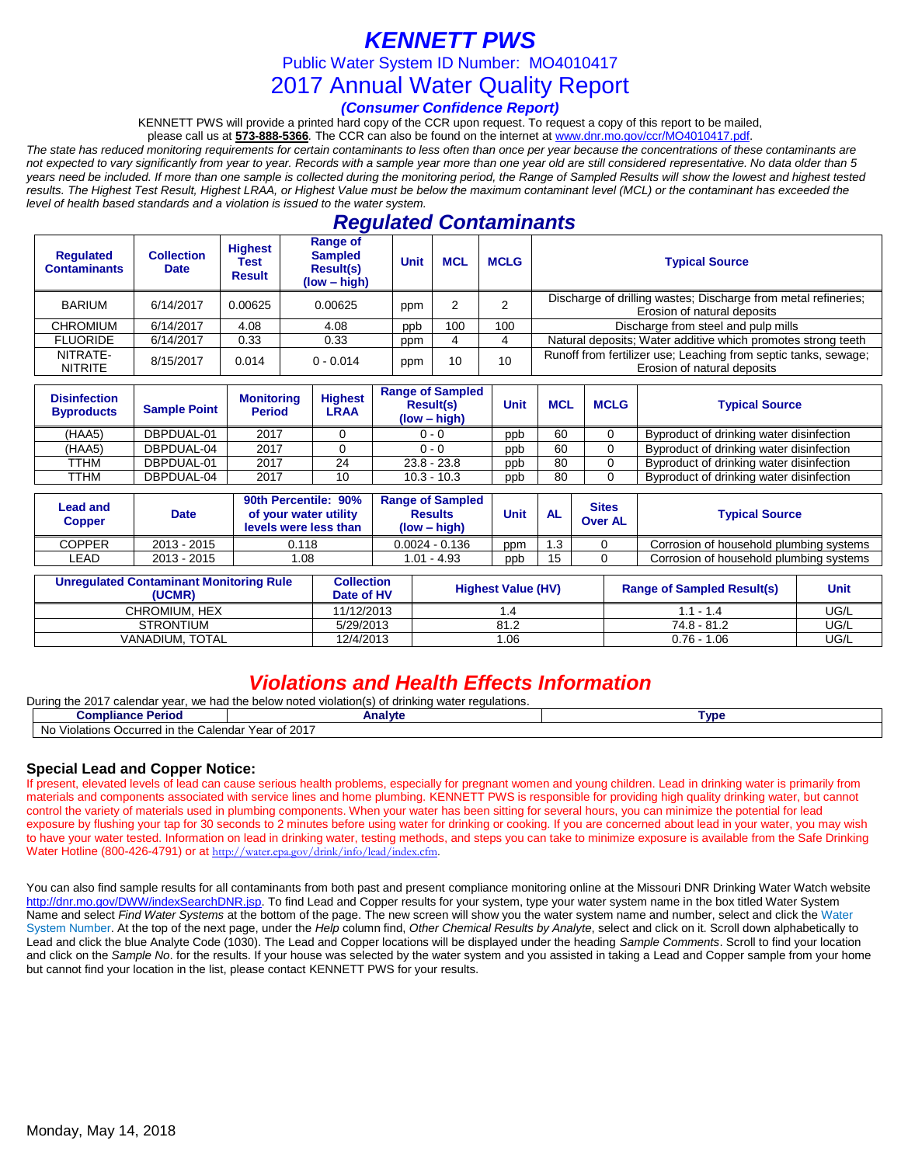# *KENNETT PWS*

Public Water System ID Number: MO4010417

## 2017 Annual Water Quality Report

### *(Consumer Confidence Report)*

KENNETT PWS will provide a printed hard copy of the CCR upon request. To request a copy of this report to be mailed,

please call us at **573-888-5366***.* The CCR can also be found on the internet at www.dnr.mo.gov/ccr/MO4010417.pdf. *The state has reduced monitoring requirements for certain contaminants to less often than once per year because the concentrations of these contaminants are not expected to vary significantly from year to year. Records with a sample year more than one year old are still considered representative. No data older than 5 years need be included. If more than one sample is collected during the monitoring period, the Range of Sampled Results will show the lowest and highest tested results. The Highest Test Result, Highest LRAA, or Highest Value must be below the maximum contaminant level (MCL) or the contaminant has exceeded the level of health based standards and a violation is issued to the water system.* 

## *Regulated Contaminants*

| <b>Regulated</b><br><b>Contaminants</b> | <b>Collection</b><br><b>Date</b> | <b>Highest</b><br>Test<br><b>Result</b> | <b>Range of</b><br><b>Sampled</b><br><b>Result(s)</b><br>$(low - high)$ | <b>Unit</b> | <b>MCL</b> | <b>MCLG</b> | <b>Typical Source</b>                                                                          |
|-----------------------------------------|----------------------------------|-----------------------------------------|-------------------------------------------------------------------------|-------------|------------|-------------|------------------------------------------------------------------------------------------------|
| BARIUM                                  | 6/14/2017                        | 0.00625                                 | 0.00625                                                                 | ppm         |            |             | Discharge of drilling wastes; Discharge from metal refineries;<br>Erosion of natural deposits  |
| <b>CHROMIUM</b>                         | 6/14/2017                        | 4.08                                    | 4.08                                                                    | ppb         | 100        | 100         | Discharge from steel and pulp mills                                                            |
| <b>FLUORIDE</b>                         | 6/14/2017                        | 0.33                                    | 0.33                                                                    | ppm         |            |             | Natural deposits; Water additive which promotes strong teeth                                   |
| NITRATE-<br><b>NITRITE</b>              | 8/15/2017                        | 0.014                                   | $0 - 0.014$                                                             | ppm         | 10<br>10   |             | Runoff from fertilizer use; Leaching from septic tanks, sewage;<br>Erosion of natural deposits |

| <b>Disinfection</b><br><b>Byproducts</b> | <b>Sample Point</b> | <b>Monitoring</b><br><b>Period</b> | <b>Highest</b><br>LRAA | <b>Range of Sampled</b><br><b>Result(s)</b><br>$(low - high)$ | Unit | <b>MCL</b> | <b>MCLG</b> | <b>Typical Source</b>                    |
|------------------------------------------|---------------------|------------------------------------|------------------------|---------------------------------------------------------------|------|------------|-------------|------------------------------------------|
| (HAA5)                                   | DBPDUAL-01          | 2017                               |                        | $0 - 0$                                                       | ppb  | 60         |             | Byproduct of drinking water disinfection |
| (HAA5)                                   | DBPDUAL-04          | 2017                               |                        | $0 - 0$                                                       | ppb  | 60         |             | Byproduct of drinking water disinfection |
| TTHM                                     | DBPDUAL-01          | 2017                               | 24                     | $23.8 - 23.8$                                                 | ppb  | 80         |             | Byproduct of drinking water disinfection |
| TTHM                                     | DBPDUAL-04          | 2017                               | 10                     | $10.3 - 10.3$                                                 | ppb  | 80         |             | Byproduct of drinking water disinfection |

| Lead and<br><b>Copper</b> | Date        | 90th Percentile: 90%<br>of your water utility<br>levels were less than | <b>Range of Sampled</b><br><b>Results</b><br>$(low - high)$ | Unit | <b>AL</b> | <b>Sites</b><br><b>Over AL</b> | <b>Typical Source</b>                   |  |  |
|---------------------------|-------------|------------------------------------------------------------------------|-------------------------------------------------------------|------|-----------|--------------------------------|-----------------------------------------|--|--|
| <b>COPPER</b>             | 2013 - 2015 | 0.118                                                                  | $0.0024 - 0.136$                                            | ppm  | 1.3       |                                | Corrosion of household plumbing systems |  |  |
| LEAD                      | 2013 - 2015 | .08                                                                    | 1.01 - 4.93                                                 | ppb  | 15        |                                | Corrosion of household plumbing systems |  |  |

| Unregulated Contaminant Monitoring Rule<br>(UCMR) | <b>Collection</b><br>Date of HV | <b>Highest Value (HV)</b> | <b>Range of Sampled Result(s)</b> | <b>Unit</b> |
|---------------------------------------------------|---------------------------------|---------------------------|-----------------------------------|-------------|
| CHROMIUM. HEX                                     | 11/12/2013                      | .4                        | $1.1 - 1.4$                       | UG/L        |
| <b>STRONTIUM</b>                                  | 5/29/2013                       | 81.2                      | 74.8 - 81.2                       | UG/L        |
| VANADIUM. TOTAL                                   | 12/4/2013                       | 1.06                      | $0.76 - 1.06$                     | UG/L        |

## *Violations and Health Effects Information*

| Durina<br>the 2017<br>calendar vear.<br>. we had the below noted :<br>violation(s)<br>water regulations.<br>drinkina |         |      |  |  |  |  |  |  |
|----------------------------------------------------------------------------------------------------------------------|---------|------|--|--|--|--|--|--|
| <b>Compliance Period</b>                                                                                             | Analvte | Tvpe |  |  |  |  |  |  |
| N <sub>0</sub><br>Year of 2017<br>Occurred in the<br>. Calendar<br>Violations                                        |         |      |  |  |  |  |  |  |

### **Special Lead and Copper Notice:**

If present, elevated levels of lead can cause serious health problems, especially for pregnant women and young children. Lead in drinking water is primarily from materials and components associated with service lines and home plumbing. KENNETT PWS is responsible for providing high quality drinking water, but cannot control the variety of materials used in plumbing components. When your water has been sitting for several hours, you can minimize the potential for lead exposure by flushing your tap for 30 seconds to 2 minutes before using water for drinking or cooking. If you are concerned about lead in your water, you may wish to have your water tested. Information on lead in drinking water, testing methods, and steps you can take to minimize exposure is available from the Safe Drinking Water Hotline (800-426-4791) or at [http://water.epa.gov/drink/info/lead/index.cfm.](http://water.epa.gov/drink/info/lead/index.cfm)

You can also find sample results for all contaminants from both past and present compliance monitoring online at the Missouri DNR Drinking Water Watch website [http://dnr.mo.gov/DWW/indexSearchDNR.jsp.](http://dnr.mo.gov/DWW/indexSearchDNR.jsp) To find Lead and Copper results for your system, type your water system name in the box titled Water System Name and select *Find Water Systems* at the bottom of the page. The new screen will show you the water system name and number, select and click the Water System Number. At the top of the next page, under the *Help* column find, *Other Chemical Results by Analyte*, select and click on it. Scroll down alphabetically to Lead and click the blue Analyte Code (1030). The Lead and Copper locations will be displayed under the heading *Sample Comments*. Scroll to find your location and click on the *Sample No*. for the results. If your house was selected by the water system and you assisted in taking a Lead and Copper sample from your home but cannot find your location in the list, please contact KENNETT PWS for your results.